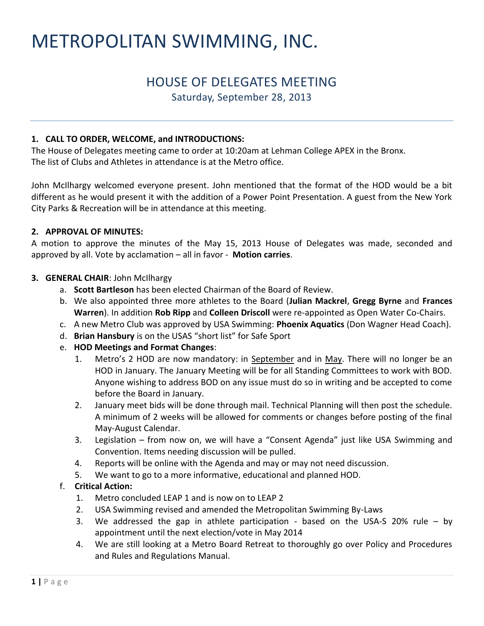# METROPOLITAN SWIMMING, INC.

# HOUSE OF DELEGATES MEETING

Saturday, September 28, 2013

#### **1. CALL TO ORDER, WELCOME, and INTRODUCTIONS:**

The House of Delegates meeting came to order at 10:20am at Lehman College APEX in the Bronx. The list of Clubs and Athletes in attendance is at the Metro office.

John McIlhargy welcomed everyone present. John mentioned that the format of the HOD would be a bit different as he would present it with the addition of a Power Point Presentation. A guest from the New York City Parks & Recreation will be in attendance at this meeting.

#### **2. APPROVAL OF MINUTES:**

A motion to approve the minutes of the May 15, 2013 House of Delegates was made, seconded and approved by all. Vote by acclamation – all in favor - **Motion carries**.

#### **3. GENERAL CHAIR**: John McIlhargy

- a. **Scott Bartleson** has been elected Chairman of the Board of Review.
- b. We also appointed three more athletes to the Board (**Julian Mackrel**, **Gregg Byrne** and **Frances Warren**). In addition **Rob Ripp** and **Colleen Driscoll** were re-appointed as Open Water Co-Chairs.
- c. A new Metro Club was approved by USA Swimming: **Phoenix Aquatics** (Don Wagner Head Coach).
- d. **Brian Hansbury** is on the USAS "short list" for Safe Sport
- e. **HOD Meetings and Format Changes**:
	- 1. Metro's 2 HOD are now mandatory: in September and in May. There will no longer be an HOD in January. The January Meeting will be for all Standing Committees to work with BOD. Anyone wishing to address BOD on any issue must do so in writing and be accepted to come before the Board in January.
	- 2. January meet bids will be done through mail. Technical Planning will then post the schedule. A minimum of 2 weeks will be allowed for comments or changes before posting of the final May-August Calendar.
	- 3. Legislation from now on, we will have a "Consent Agenda" just like USA Swimming and Convention. Items needing discussion will be pulled.
	- 4. Reports will be online with the Agenda and may or may not need discussion.
	- 5. We want to go to a more informative, educational and planned HOD.

#### f. **Critical Action:**

- 1. Metro concluded LEAP 1 and is now on to LEAP 2
- 2. USA Swimming revised and amended the Metropolitan Swimming By-Laws
- 3. We addressed the gap in athlete participation based on the USA-S 20% rule by appointment until the next election/vote in May 2014
- 4. We are still looking at a Metro Board Retreat to thoroughly go over Policy and Procedures and Rules and Regulations Manual.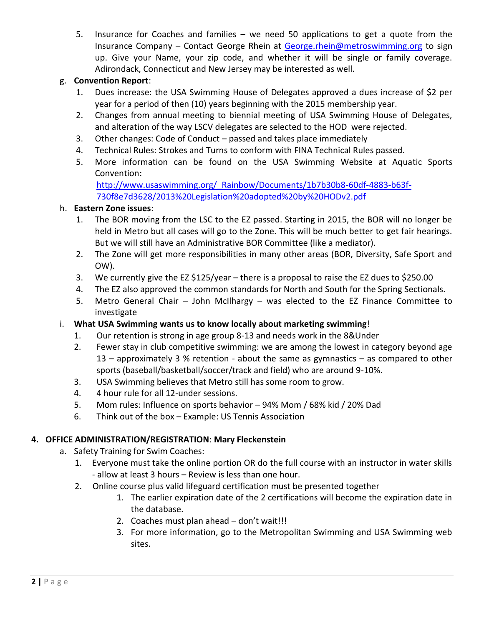5. Insurance for Coaches and families – we need 50 applications to get a quote from the Insurance Company – Contact George Rhein at [George.rhein@metroswimming.org](mailto:George.rhein@metroswimming.org) to sign up. Give your Name, your zip code, and whether it will be single or family coverage. Adirondack, Connecticut and New Jersey may be interested as well.

# g. **Convention Report**:

- 1. Dues increase: the USA Swimming House of Delegates approved a dues increase of \$2 per year for a period of then (10) years beginning with the 2015 membership year.
- 2. Changes from annual meeting to biennial meeting of USA Swimming House of Delegates, and alteration of the way LSCV delegates are selected to the HOD were rejected.
- 3. Other changes: Code of Conduct passed and takes place immediately
- 4. Technical Rules: Strokes and Turns to conform with FINA Technical Rules passed.
- 5. More information can be found on the USA Swimming Website at Aquatic Sports Convention:

[http://www.usaswimming.org/\\_Rainbow/Documents/1b7b30b8-60df-4883-b63f-](http://www.usaswimming.org/_Rainbow/Documents/1b7b30b8-60df-4883-b63f-730f8e7d3628/2013%20Legislation%20adopted%20by%20HODv2.pdf)[730f8e7d3628/2013%20Legislation%20adopted%20by%20HODv2.pdf](http://www.usaswimming.org/_Rainbow/Documents/1b7b30b8-60df-4883-b63f-730f8e7d3628/2013%20Legislation%20adopted%20by%20HODv2.pdf)

#### h. **Eastern Zone issues**:

- 1. The BOR moving from the LSC to the EZ passed. Starting in 2015, the BOR will no longer be held in Metro but all cases will go to the Zone. This will be much better to get fair hearings. But we will still have an Administrative BOR Committee (like a mediator).
- 2. The Zone will get more responsibilities in many other areas (BOR, Diversity, Safe Sport and OW).
- 3. We currently give the EZ \$125/year there is a proposal to raise the EZ dues to \$250.00
- 4. The EZ also approved the common standards for North and South for the Spring Sectionals.
- 5. Metro General Chair John McIlhargy was elected to the EZ Finance Committee to investigate
- i. **What USA Swimming wants us to know locally about marketing swimming**!
	- 1. Our retention is strong in age group 8-13 and needs work in the 8&Under
	- 2. Fewer stay in club competitive swimming: we are among the lowest in category beyond age 13 – approximately 3 % retention - about the same as gymnastics – as compared to other sports (baseball/basketball/soccer/track and field) who are around 9-10%.
	- 3. USA Swimming believes that Metro still has some room to grow.
	- 4. 4 hour rule for all 12-under sessions.
	- 5. Mom rules: Influence on sports behavior 94% Mom / 68% kid / 20% Dad
	- 6. Think out of the box Example: US Tennis Association

#### **4. OFFICE ADMINISTRATION/REGISTRATION**: **Mary Fleckenstein**

- a. Safety Training for Swim Coaches:
	- 1. Everyone must take the online portion OR do the full course with an instructor in water skills - allow at least 3 hours – Review is less than one hour.
	- 2. Online course plus valid lifeguard certification must be presented together
		- 1. The earlier expiration date of the 2 certifications will become the expiration date in the database.
		- 2. Coaches must plan ahead don't wait!!!
		- 3. For more information, go to the Metropolitan Swimming and USA Swimming web sites.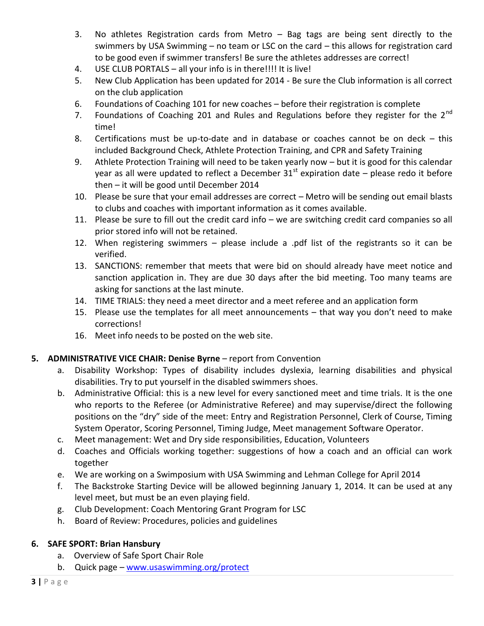- 3. No athletes Registration cards from Metro Bag tags are being sent directly to the swimmers by USA Swimming – no team or LSC on the card – this allows for registration card to be good even if swimmer transfers! Be sure the athletes addresses are correct!
- 4. USE CLUB PORTALS all your info is in there!!!! It is live!
- 5. New Club Application has been updated for 2014 Be sure the Club information is all correct on the club application
- 6. Foundations of Coaching 101 for new coaches before their registration is complete
- 7. Foundations of Coaching 201 and Rules and Regulations before they register for the  $2^{nd}$ time!
- 8. Certifications must be up-to-date and in database or coaches cannot be on deck this included Background Check, Athlete Protection Training, and CPR and Safety Training
- 9. Athlete Protection Training will need to be taken yearly now but it is good for this calendar year as all were updated to reflect a December  $31<sup>st</sup>$  expiration date – please redo it before then – it will be good until December 2014
- 10. Please be sure that your email addresses are correct Metro will be sending out email blasts to clubs and coaches with important information as it comes available.
- 11. Please be sure to fill out the credit card info we are switching credit card companies so all prior stored info will not be retained.
- 12. When registering swimmers please include a .pdf list of the registrants so it can be verified.
- 13. SANCTIONS: remember that meets that were bid on should already have meet notice and sanction application in. They are due 30 days after the bid meeting. Too many teams are asking for sanctions at the last minute.
- 14. TIME TRIALS: they need a meet director and a meet referee and an application form
- 15. Please use the templates for all meet announcements that way you don't need to make corrections!
- 16. Meet info needs to be posted on the web site.

#### **5. ADMINISTRATIVE VICE CHAIR: Denise Byrne** – report from Convention

- a. Disability Workshop: Types of disability includes dyslexia, learning disabilities and physical disabilities. Try to put yourself in the disabled swimmers shoes.
- b. Administrative Official: this is a new level for every sanctioned meet and time trials. It is the one who reports to the Referee (or Administrative Referee) and may supervise/direct the following positions on the "dry" side of the meet: Entry and Registration Personnel, Clerk of Course, Timing System Operator, Scoring Personnel, Timing Judge, Meet management Software Operator.
- c. Meet management: Wet and Dry side responsibilities, Education, Volunteers
- d. Coaches and Officials working together: suggestions of how a coach and an official can work together
- e. We are working on a Swimposium with USA Swimming and Lehman College for April 2014
- f. The Backstroke Starting Device will be allowed beginning January 1, 2014. It can be used at any level meet, but must be an even playing field.
- g. Club Development: Coach Mentoring Grant Program for LSC
- h. Board of Review: Procedures, policies and guidelines

#### **6. SAFE SPORT: Brian Hansbury**

- a. Overview of Safe Sport Chair Role
- b. Quick page [www.usaswimming.org/protect](http://www.usaswimming.org/protect)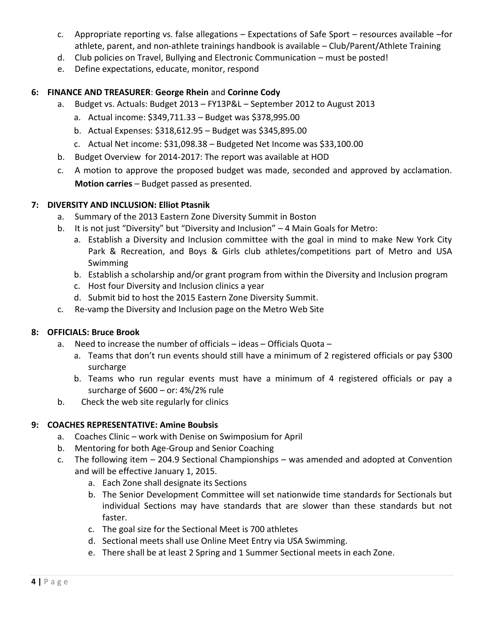- c. Appropriate reporting vs. false allegations Expectations of Safe Sport resources available –for athlete, parent, and non-athlete trainings handbook is available – Club/Parent/Athlete Training
- d. Club policies on Travel, Bullying and Electronic Communication must be posted!
- e. Define expectations, educate, monitor, respond

#### **6: FINANCE AND TREASURER**: **George Rhein** and **Corinne Cody**

- a. Budget vs. Actuals: Budget 2013 FY13P&L September 2012 to August 2013
	- a. Actual income: \$349,711.33 Budget was \$378,995.00
	- b. Actual Expenses: \$318,612.95 Budget was \$345,895.00
	- c. Actual Net income: \$31,098.38 Budgeted Net Income was \$33,100.00
- b. Budget Overview for 2014-2017: The report was available at HOD
- c. A motion to approve the proposed budget was made, seconded and approved by acclamation. **Motion carries** – Budget passed as presented.

#### **7: DIVERSITY AND INCLUSION: Elliot Ptasnik**

- a. Summary of the 2013 Eastern Zone Diversity Summit in Boston
- b. It is not just "Diversity" but "Diversity and Inclusion" 4 Main Goals for Metro:
	- a. Establish a Diversity and Inclusion committee with the goal in mind to make New York City Park & Recreation, and Boys & Girls club athletes/competitions part of Metro and USA Swimming
	- b. Establish a scholarship and/or grant program from within the Diversity and Inclusion program
	- c. Host four Diversity and Inclusion clinics a year
	- d. Submit bid to host the 2015 Eastern Zone Diversity Summit.
- c. Re-vamp the Diversity and Inclusion page on the Metro Web Site

#### **8: OFFICIALS: Bruce Brook**

- a. Need to increase the number of officials ideas Officials Quota
	- a. Teams that don't run events should still have a minimum of 2 registered officials or pay \$300 surcharge
	- b. Teams who run regular events must have a minimum of 4 registered officials or pay a surcharge of  $$600 - or: 4\%/2\%$  rule
- b. Check the web site regularly for clinics

#### **9: COACHES REPRESENTATIVE: Amine Boubsis**

- a. Coaches Clinic work with Denise on Swimposium for April
- b. Mentoring for both Age-Group and Senior Coaching
- c. The following item 204.9 Sectional Championships was amended and adopted at Convention and will be effective January 1, 2015.
	- a. Each Zone shall designate its Sections
	- b. The Senior Development Committee will set nationwide time standards for Sectionals but individual Sections may have standards that are slower than these standards but not faster.
	- c. The goal size for the Sectional Meet is 700 athletes
	- d. Sectional meets shall use Online Meet Entry via USA Swimming.
	- e. There shall be at least 2 Spring and 1 Summer Sectional meets in each Zone.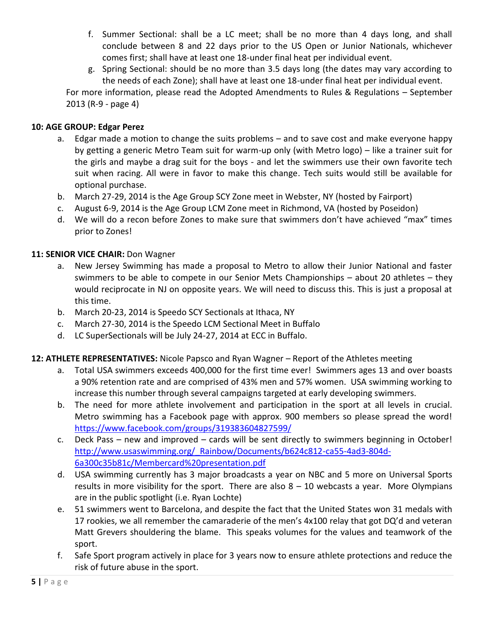- f. Summer Sectional: shall be a LC meet; shall be no more than 4 days long, and shall conclude between 8 and 22 days prior to the US Open or Junior Nationals, whichever comes first; shall have at least one 18-under final heat per individual event.
- g. Spring Sectional: should be no more than 3.5 days long (the dates may vary according to the needs of each Zone); shall have at least one 18-under final heat per individual event.

For more information, please read the Adopted Amendments to Rules & Regulations – September 2013 (R-9 - page 4)

#### **10: AGE GROUP: Edgar Perez**

- a. Edgar made a motion to change the suits problems and to save cost and make everyone happy by getting a generic Metro Team suit for warm-up only (with Metro logo) – like a trainer suit for the girls and maybe a drag suit for the boys - and let the swimmers use their own favorite tech suit when racing. All were in favor to make this change. Tech suits would still be available for optional purchase.
- b. March 27-29, 2014 is the Age Group SCY Zone meet in Webster, NY (hosted by Fairport)
- c. August 6-9, 2014 is the Age Group LCM Zone meet in Richmond, VA (hosted by Poseidon)
- d. We will do a recon before Zones to make sure that swimmers don't have achieved "max" times prior to Zones!

#### 11: **SENIOR VICE CHAIR:** Don Wagner

- a. New Jersey Swimming has made a proposal to Metro to allow their Junior National and faster swimmers to be able to compete in our Senior Mets Championships – about 20 athletes – they would reciprocate in NJ on opposite years. We will need to discuss this. This is just a proposal at this time.
- b. March 20-23, 2014 is Speedo SCY Sectionals at Ithaca, NY
- c. March 27-30, 2014 is the Speedo LCM Sectional Meet in Buffalo
- d. LC SuperSectionals will be July 24-27, 2014 at ECC in Buffalo.

#### **12: ATHLETE REPRESENTATIVES:** Nicole Papsco and Ryan Wagner – Report of the Athletes meeting

- a. Total USA swimmers exceeds 400,000 for the first time ever! Swimmers ages 13 and over boasts a 90% retention rate and are comprised of 43% men and 57% women. USA swimming working to increase this number through several campaigns targeted at early developing swimmers.
- b. The need for more athlete involvement and participation in the sport at all levels in crucial. Metro swimming has a Facebook page with approx. 900 members so please spread the word! <https://www.facebook.com/groups/319383604827599/>
- c. Deck Pass new and improved cards will be sent directly to swimmers beginning in October! [http://www.usaswimming.org/\\_Rainbow/Documents/b624c812-ca55-4ad3-804d-](http://www.usaswimming.org/_Rainbow/Documents/b624c812-ca55-4ad3-804d-6a300c35b81c/Membercard%20presentation.pdf)[6a300c35b81c/Membercard%20presentation.pdf](http://www.usaswimming.org/_Rainbow/Documents/b624c812-ca55-4ad3-804d-6a300c35b81c/Membercard%20presentation.pdf)
- d. USA swimming currently has 3 major broadcasts a year on NBC and 5 more on Universal Sports results in more visibility for the sport. There are also  $8 - 10$  webcasts a year. More Olympians are in the public spotlight (i.e. Ryan Lochte)
- e. 51 swimmers went to Barcelona, and despite the fact that the United States won 31 medals with 17 rookies, we all remember the camaraderie of the men's 4x100 relay that got DQ'd and veteran Matt Grevers shouldering the blame. This speaks volumes for the values and teamwork of the sport.
- f. Safe Sport program actively in place for 3 years now to ensure athlete protections and reduce the risk of future abuse in the sport.